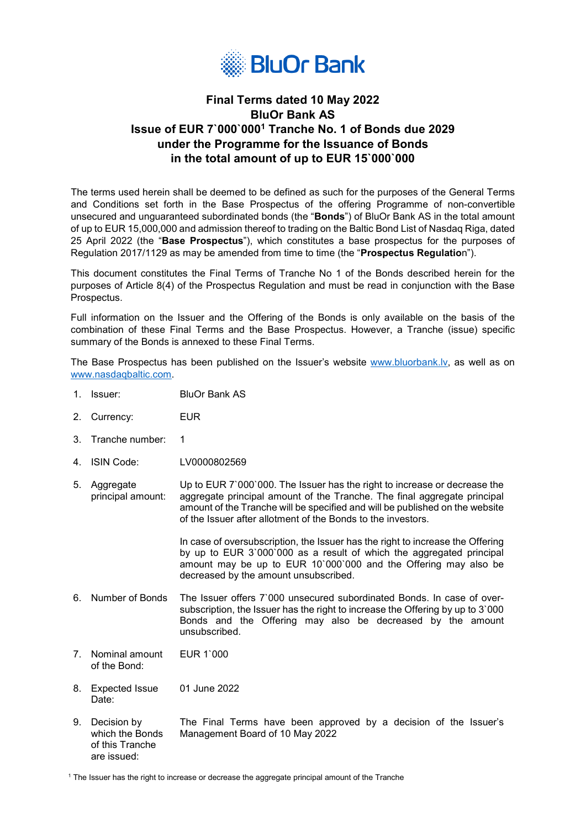

## **Final Terms dated 10 May 2022 BluOr Bank AS Issue of EUR 7`000`0001 Tranche No. 1 of Bonds due 2029 under the Programme for the Issuance of Bonds in the total amount of up to EUR 15`000`000**

The terms used herein shall be deemed to be defined as such for the purposes of the General Terms and Conditions set forth in the Base Prospectus of the offering Programme of non-convertible unsecured and unguaranteed subordinated bonds (the "**Bonds**") of BluOr Bank AS in the total amount of up to EUR 15,000,000 and admission thereof to trading on the Baltic Bond List of Nasdaq Riga, dated 25 April 2022 (the "**Base Prospectus**"), which constitutes a base prospectus for the purposes of Regulation 2017/1129 as may be amended from time to time (the "**Prospectus Regulatio**n").

This document constitutes the Final Terms of Tranche No 1 of the Bonds described herein for the purposes of Article 8(4) of the Prospectus Regulation and must be read in conjunction with the Base Prospectus.

Full information on the Issuer and the Offering of the Bonds is only available on the basis of the combination of these Final Terms and the Base Prospectus. However, a Tranche (issue) specific summary of the Bonds is annexed to these Final Terms.

The Base Prospectus has been published on the Issuer's website [www.bluorbank.l](http://www.bluorbank./)v, as well as on [www.nasdaqbaltic.com.](http://www.nasdaqbaltic.com/) 

- 1. Issuer: BluOr Bank AS
- 2. Currency: EUR
- 3. Tranche number: 1
- 4. ISIN Code: LV0000802569
- 5. Aggregate principal amount: Up to EUR 7`000`000. The Issuer has the right to increase or decrease the aggregate principal amount of the Tranche. The final aggregate principal amount of the Tranche will be specified and will be published on the website of the Issuer after allotment of the Bonds to the investors.

In case of oversubscription, the Issuer has the right to increase the Offering by up to EUR 3`000`000 as a result of which the aggregated principal amount may be up to EUR 10`000`000 and the Offering may also be decreased by the amount unsubscribed.

- 6. Number of Bonds The Issuer offers 7`000 unsecured subordinated Bonds. In case of oversubscription, the Issuer has the right to increase the Offering by up to 3`000 Bonds and the Offering may also be decreased by the amount unsubscribed.
- 7. Nominal amount of the Bond: EUR 1`000
- 8. Expected Issue Date: 01 June 2022
- 9. Decision by which the Bonds of this Tranche are issued: The Final Terms have been approved by a decision of the Issuer's Management Board of 10 May 2022

<sup>1</sup> The Issuer has the right to increase or decrease the aggregate principal amount of the Tranche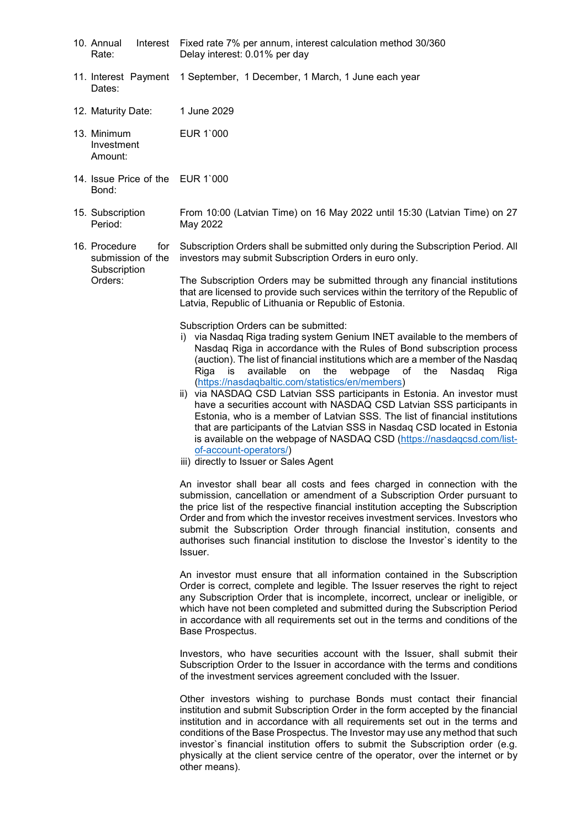- 10. Annual Interest Rate: Fixed rate 7% per annum, interest calculation method 30/360 Delay interest: 0.01% per day
- 11. Interest Payment Dates: 1 September, 1 December, 1 March, 1 June each year
- 12. Maturity Date: 1 June 2029
- 13. Minimum Investment Amount: EUR 1`000
- 14. Issue Price of the EUR 1`000 Bond:
- 15. Subscription Period: From 10:00 (Latvian Time) on 16 May 2022 until 15:30 (Latvian Time) on 27 May 2022
- 16. Procedure for submission of the **Subscription** Orders: Subscription Orders shall be submitted only during the Subscription Period. All investors may submit Subscription Orders in euro only.

The Subscription Orders may be submitted through any financial institutions that are licensed to provide such services within the territory of the Republic of Latvia, Republic of Lithuania or Republic of Estonia.

Subscription Orders can be submitted:

- i) via Nasdaq Riga trading system Genium INET available to the members of Nasdaq Riga in accordance with the Rules of Bond subscription process (auction). The list of financial institutions which are a member of the Nasdaq Riga is available on the webpage of the [\(https://nasdaqbaltic.com/statistics/en/members\)](https://nasdaqbaltic.com/statistics/en/members)
- ii) via NASDAQ CSD Latvian SSS participants in Estonia. An investor must have a securities account with NASDAQ CSD Latvian SSS participants in Estonia, who is a member of Latvian SSS. The list of financial institutions that are participants of the Latvian SSS in Nasdaq CSD located in Estonia is available on the webpage of NASDAQ CSD [\(https://nasdaqcsd.com/list](https://nasdaqcsd.com/list-of-account-operators/)[of-account-operators/\)](https://nasdaqcsd.com/list-of-account-operators/)
- iii) directly to Issuer or Sales Agent

An investor shall bear all costs and fees charged in connection with the submission, cancellation or amendment of a Subscription Order pursuant to the price list of the respective financial institution accepting the Subscription Order and from which the investor receives investment services. Investors who submit the Subscription Order through financial institution, consents and authorises such financial institution to disclose the Investor`s identity to the Issuer.

An investor must ensure that all information contained in the Subscription Order is correct, complete and legible. The Issuer reserves the right to reject any Subscription Order that is incomplete, incorrect, unclear or ineligible, or which have not been completed and submitted during the Subscription Period in accordance with all requirements set out in the terms and conditions of the Base Prospectus.

Investors, who have securities account with the Issuer, shall submit their Subscription Order to the Issuer in accordance with the terms and conditions of the investment services agreement concluded with the Issuer.

Other investors wishing to purchase Bonds must contact their financial institution and submit Subscription Order in the form accepted by the financial institution and in accordance with all requirements set out in the terms and conditions of the Base Prospectus. The Investor may use any method that such investor`s financial institution offers to submit the Subscription order (e.g. physically at the client service centre of the operator, over the internet or by other means).